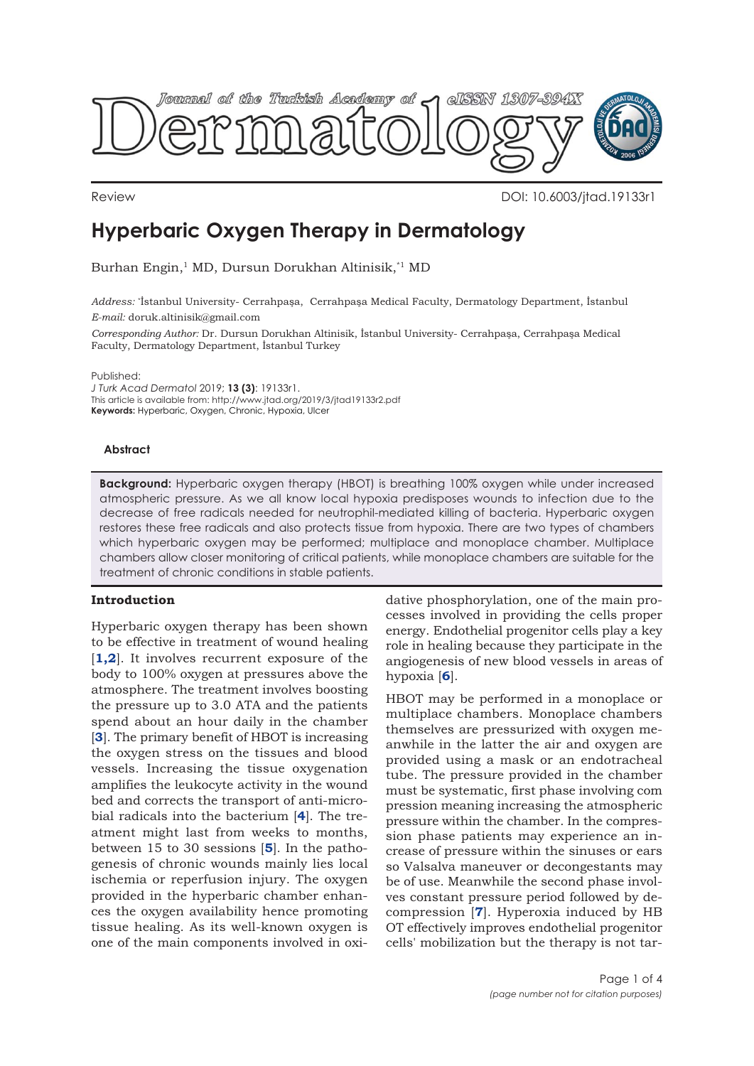

Review DOI: 10.6003/jtad.19133r1

# **Hyperbaric Oxygen Therapy in Dermatology**

Burhan Engin,<sup>1</sup> MD, Dursun Dorukhan Altinisik,<sup>\*1</sup> MD

*Address:* \* İstanbul University- Cerrahpaşa, Cerrahpaşa Medical Faculty, Dermatology Department, İstanbul *E-mail:* doruk.altinisik@gmail.com

*Corresponding Author:* Dr. Dursun Dorukhan Altinisik, İstanbul University- Cerrahpaşa, Cerrahpaşa Medical Faculty, Dermatology Department, İstanbul Turkey

Published:

*J Turk Acad Dermatol* 2019; **13 (3)**: 19133r1. This article is available from: http://www.jtad.org/2019/3/jtad19133r2.pdf **Keywords:** Hyperbaric, Oxygen, Chronic, Hypoxia, Ulcer

# **Abstract**

**Background:** Hyperbaric oxygen therapy (HBOT) is breathing 100% oxygen while under increased atmospheric pressure. As we all know local hypoxia predisposes wounds to infection due to the decrease of free radicals needed for neutrophil-mediated killing of bacteria. Hyperbaric oxygen restores these free radicals and also protects tissue from hypoxia. There are two types of chambers which hyperbaric oxygen may be performed; multiplace and monoplace chamber. Multiplace chambers allow closer monitoring of critical patients, while monoplace chambers are suitable for the treatment of chronic conditions in stable patients.

# **Introduction**

Hyperbaric oxygen therapy has been shown to be effective in treatment of wound healing [**[1,2](#page-2-0)**]. It involves recurrent exposure of the body to 100% oxygen at pressures above the atmosphere. The treatment involves boosting the pressure up to 3.0 ATA and the patients spend about an hour daily in the chamber [**[3](#page-2-0)**]. The primary benefit of HBOT is increasing the oxygen stress on the tissues and blood vessels. Increasing the tissue oxygenation amplifies the leukocyte activity in the wound bed and corrects the transport of anti-microbial radicals into the bacterium [**[4](#page-2-0)**]. The treatment might last from weeks to months, between 15 to 30 sessions [**[5](#page-2-0)**]. In the pathogenesis of chronic wounds mainly lies local ischemia or reperfusion injury. The oxygen provided in the hyperbaric chamber enhances the oxygen availability hence promoting tissue healing. As its well-known oxygen is one of the main components involved in oxi-

dative phosphorylation, one of the main processes involved in providing the cells proper energy. Endothelial progenitor cells play a key role in healing because they participate in the angiogenesis of new blood vessels in areas of hypoxia [**[6](#page-2-0)**].

HBOT may be performed in a monoplace or multiplace chambers. Monoplace chambers themselves are pressurized with oxygen meanwhile in the latter the air and oxygen are provided using a mask or an endotracheal tube. The pressure provided in the chamber must be systematic, first phase involving com pression meaning increasing the atmospheric pressure within the chamber. In the compression phase patients may experience an increase of pressure within the sinuses or ears so Valsalva maneuver or decongestants may be of use. Meanwhile the second phase involves constant pressure period followed by decompression [**[7](#page-2-0)**]. Hyperoxia induced by HB OT effectively improves endothelial progenitor cells' mobilization but the therapy is not tar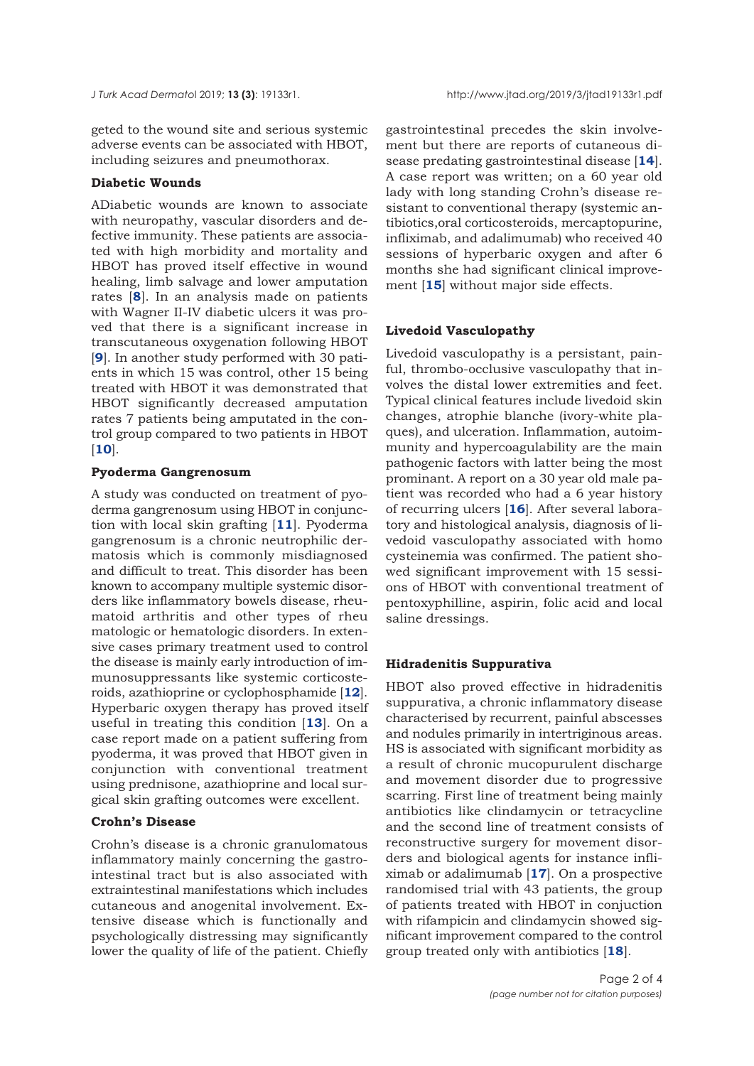geted to the wound site and serious systemic adverse events can be associated with HBOT, including seizures and pneumothorax.

# **Diabetic Wounds**

ADiabetic wounds are known to associate with neuropathy, vascular disorders and defective immunity. These patients are associated with high morbidity and mortality and HBOT has proved itself effective in wound healing, limb salvage and lower amputation rates [**[8](#page-2-0)**]. In an analysis made on patients with Wagner II-IV diabetic ulcers it was proved that there is a significant increase in transcutaneous oxygenation following HBOT [**[9](#page-2-0)**]. In another study performed with 30 patients in which 15 was control, other 15 being treated with HBOT it was demonstrated that HBOT significantly decreased amputation rates 7 patients being amputated in the control group compared to two patients in HBOT [**[10](#page-2-0)**].

#### **Pyoderma Gangrenosum**

A study was conducted on treatment of pyoderma gangrenosum using HBOT in conjunction with local skin grafting [**[11](#page-2-0)**]. Pyoderma gangrenosum is a chronic neutrophilic dermatosis which is commonly misdiagnosed and difficult to treat. This disorder has been known to accompany multiple systemic disorders like inflammatory bowels disease, rheumatoid arthritis and other types of rheu matologic or hematologic disorders. In extensive cases primary treatment used to control the disease is mainly early introduction of immunosuppressants like systemic corticosteroids, azathioprine or cyclophosphamide [**[12](#page-2-0)**]. Hyperbaric oxygen therapy has proved itself useful in treating this condition [**[13](#page-2-0)**]. On a case report made on a patient suffering from pyoderma, it was proved that HBOT given in conjunction with conventional treatment using prednisone, azathioprine and local surgical skin grafting outcomes were excellent.

# **Crohn's Disease**

Crohn's disease is a chronic granulomatous inflammatory mainly concerning the gastrointestinal tract but is also associated with extraintestinal manifestations which includes cutaneous and anogenital involvement. Extensive disease which is functionally and psychologically distressing may significantly lower the quality of life of the patient. Chiefly

gastrointestinal precedes the skin involvement but there are reports of cutaneous disease predating gastrointestinal disease [**[14](#page-2-0)**]. A case report was written; on a 60 year old lady with long standing Crohn's disease resistant to conventional therapy (systemic antibiotics,oral corticosteroids, mercaptopurine, infliximab, and adalimumab) who received 40 sessions of hyperbaric oxygen and after 6 months she had significant clinical improvement [**[15](#page-2-0)**] without major side effects.

# **Livedoid Vasculopathy**

Livedoid vasculopathy is a persistant, painful, thrombo-occlusive vasculopathy that involves the distal lower extremities and feet. Typical clinical features include livedoid skin changes, atrophie blanche (ivory-white plaques), and ulceration. Inflammation, autoimmunity and hypercoagulability are the main pathogenic factors with latter being the most prominant. A report on a 30 year old male patient was recorded who had a 6 year history of recurring ulcers [**[16](#page-2-0)**]. After several laboratory and histological analysis, diagnosis of livedoid vasculopathy associated with homo cysteinemia was confirmed. The patient showed significant improvement with 15 sessions of HBOT with conventional treatment of pentoxyphilline, aspirin, folic acid and local saline dressings.

# **Hidradenitis Suppurativa**

HBOT also proved effective in hidradenitis suppurativa, a chronic inflammatory disease characterised by recurrent, painful abscesses and nodules primarily in intertriginous areas. HS is associated with significant morbidity as a result of chronic mucopurulent discharge and movement disorder due to progressive scarring. First line of treatment being mainly antibiotics like clindamycin or tetracycline and the second line of treatment consists of reconstructive surgery for movement disorders and biological agents for instance infliximab or adalimumab [**[17](#page-2-0)**]. On a prospective randomised trial with 43 patients, the group of patients treated with HBOT in conjuction with rifampicin and clindamycin showed significant improvement compared to the control group treated only with antibiotics [**[18](#page-2-0)**].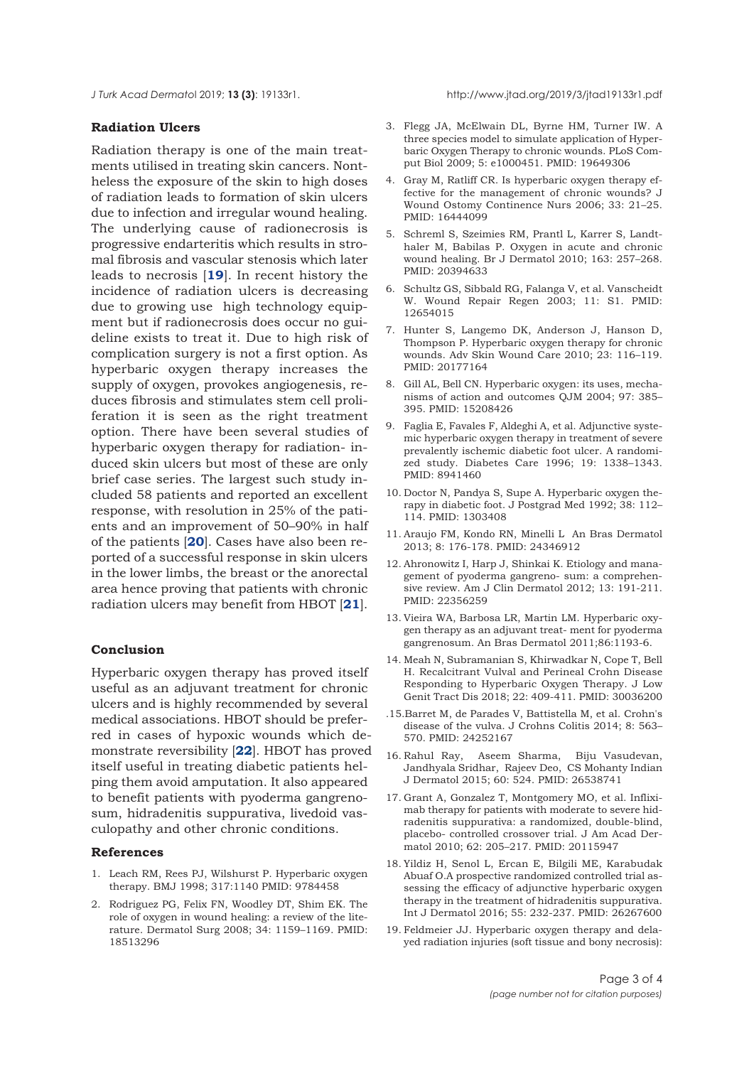<span id="page-2-0"></span>*J Turk Acad Dermato*l 2019; **13 (3)**: 19133r1. http://www.jtad.org/2019/3/jtad19133r1.pdf

#### **Radiation Ulcers**

Radiation therapy is one of the main treatments utilised in treating skin cancers. Nontheless the exposure of the skin to high doses of radiation leads to formation of skin ulcers due to infection and irregular wound healing. The underlying cause of radionecrosis is progressive endarteritis which results in stromal fibrosis and vascular stenosis which later leads to necrosis [**19**]. In recent history the incidence of radiation ulcers is decreasing due to growing use high technology equipment but if radionecrosis does occur no guideline exists to treat it. Due to high risk of complication surgery is not a first option. As hyperbaric oxygen therapy increases the supply of oxygen, provokes angiogenesis, reduces fibrosis and stimulates stem cell proliferation it is seen as the right treatment option. There have been several studies of hyperbaric oxygen therapy for radiation- induced skin ulcers but most of these are only brief case series. The largest such study included 58 patients and reported an excellent response, with resolution in 25% of the patients and an improvement of 50–90% in half of the patients [**[20](#page-3-0)**]. Cases have also been reported of a successful response in skin ulcers in the lower limbs, the breast or the anorectal area hence proving that patients with chronic radiation ulcers may benefit from HBOT [**21**].

# **Conclusion**

Hyperbaric oxygen therapy has proved itself useful as an adjuvant treatment for chronic ulcers and is highly recommended by several medical associations. HBOT should be preferred in cases of hypoxic wounds which demonstrate reversibility [**[22](#page-3-0)**]. HBOT has proved itself useful in treating diabetic patients helping them avoid amputation. It also appeared to benefit patients with pyoderma gangrenosum, hidradenitis suppurativa, livedoid vasculopathy and other chronic conditions.

# **References**

- 1. Leach RM, Rees PJ, Wilshurst P. Hyperbaric oxygen therapy. BMJ 1998; 317:1140 PMID: 9784458
- 2. Rodriguez PG, Felix FN, Woodley DT, Shim EK. The role of oxygen in wound healing: a review of the literature. Dermatol Surg 2008; 34: 1159–1169. PMID: 18513296
- 3. Flegg JA, McElwain DL, Byrne HM, Turner IW. A three species model to simulate application of Hyperbaric Oxygen Therapy to chronic wounds. PLoS Comput Biol 2009; 5: e1000451. PMID: 19649306
- 4. Gray M, Ratliff CR. Is hyperbaric oxygen therapy effective for the management of chronic wounds? J Wound Ostomy Continence Nurs 2006; 33: 21–25. PMID: 16444099
- 5. Schreml S, Szeimies RM, Prantl L, Karrer S, Landthaler M, Babilas P. Oxygen in acute and chronic wound healing. Br J Dermatol 2010; 163: 257–268. PMID: 20394633
- 6. Schultz GS, Sibbald RG, Falanga V, et al. Vanscheidt W. Wound Repair Regen 2003; 11: S1. PMID: 12654015
- 7. Hunter S, Langemo DK, Anderson J, Hanson D, Thompson P. Hyperbaric oxygen therapy for chronic wounds. Adv Skin Wound Care 2010; 23: 116–119. PMID: 20177164
- 8. Gill AL, Bell CN. Hyperbaric oxygen: its uses, mechanisms of action and outcomes QJM 2004; 97: 385– 395. PMID: 15208426
- 9. Faglia E, Favales F, Aldeghi A, et al. Adjunctive systemic hyperbaric oxygen therapy in treatment of severe prevalently ischemic diabetic foot ulcer. A randomized study. Diabetes Care 1996; 19: 1338–1343. PMID: 8941460
- 10. Doctor N, Pandya S, Supe A. Hyperbaric oxygen therapy in diabetic foot. J Postgrad Med 1992; 38: 112– 114. PMID: 1303408
- 11. Araujo FM, Kondo RN, Minelli L An Bras Dermatol 2013; 8: 176-178. PMID: 24346912
- 12. Ahronowitz I, Harp J, Shinkai K. Etiology and management of pyoderma gangreno- sum: a comprehensive review. Am J Clin Dermatol 2012; 13: 191-211. PMID: 22356259
- 13. Vieira WA, Barbosa LR, Martin LM. Hyperbaric oxygen therapy as an adjuvant treat- ment for pyoderma gangrenosum. An Bras Dermatol 2011;86:1193-6.
- 14. Meah N, Subramanian S, Khirwadkar N, Cope T, Bell H. Recalcitrant Vulval and Perineal Crohn Disease Responding to Hyperbaric Oxygen Therapy. J Low Genit Tract Dis 2018; 22: 409-411. PMID: 30036200
- .15.Barret M, de Parades V, Battistella M, et al. Crohn's disease of the vulva. J Crohns Colitis 2014; 8: 563– 570. PMID: 24252167
- 16. Rahul Ray, Aseem Sharma, Biju Vasudevan, Jandhyala Sridhar, Rajeev Deo, CS Mohanty Indian J Dermatol 2015; 60: 524. PMID: 26538741
- 17. Grant A, Gonzalez T, Montgomery MO, et al. Infliximab therapy for patients with moderate to severe hidradenitis suppurativa: a randomized, double-blind, placebo- controlled crossover trial. J Am Acad Dermatol 2010; 62: 205–217. PMID: 20115947
- 18. Yildiz H, Senol L, Ercan E, Bilgili ME, Karabudak Abuaf O.A prospective randomized controlled trial assessing the efficacy of adjunctive hyperbaric oxygen therapy in the treatment of hidradenitis suppurativa. Int J Dermatol 2016; 55: 232-237. PMID: 26267600
- 19. Feldmeier JJ. Hyperbaric oxygen therapy and delayed radiation injuries (soft tissue and bony necrosis):